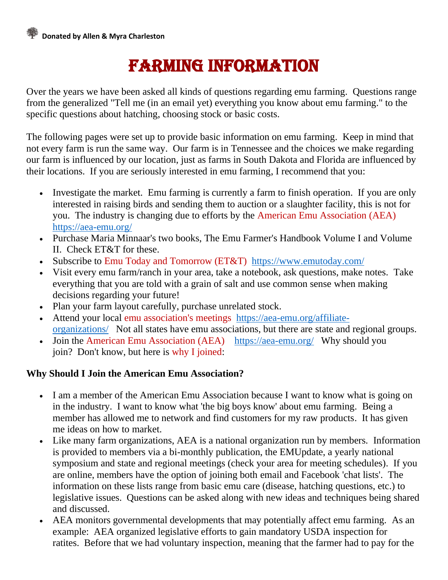## Farming Information

Over the years we have been asked all kinds of questions regarding emu farming. Questions range from the generalized "Tell me (in an email yet) everything you know about emu farming." to the specific questions about hatching, choosing stock or basic costs.

The following pages were set up to provide basic information on emu farming. Keep in mind that not every farm is run the same way. Our farm is in Tennessee and the choices we make regarding our farm is influenced by our location, just as farms in South Dakota and Florida are influenced by their locations. If you are seriously interested in emu farming, I recommend that you:

- Investigate the market. Emu farming is currently a farm to finish operation. If you are only interested in raising birds and sending them to auction or a slaughter facility, this is not for you. The industry is changing due to efforts by the [American Emu Association](http://www.aea-emu.org/) (AEA) <https://aea-emu.org/>
- Purchase Maria Minnaar's two books, The Emu Farmer's Handbook Volume I and Volume II. Check ET&T for these.
- Subscribe to [Emu Today and](http://www.emutoday.com/) Tomorrow (ET&T) <https://www.emutoday.com/>
- Visit every emu farm/ranch in your area, take a notebook, ask questions, make notes. Take everything that you are told with a grain of salt and use common sense when making decisions regarding your future!
- Plan your farm layout carefully, purchase unrelated stock.
- Attend your local [emu association's meetings](http://www.aea-emu.org/states.asp) [https://aea-emu.org/affiliate](https://aea-emu.org/affiliate-organizations/)[organizations/](https://aea-emu.org/affiliate-organizations/) Not all states have emu associations, but there are state and regional groups.
- Join the [American Emu Association](http://www.aea-emu.org/) (AEA) <https://aea-emu.org/> Why should you join? Don't know, but here is [why I joined:](http://www.redoakfarm.com/why_join_aea.htm)

## **Why Should I Join the American Emu Association?**

- I am a member of the American Emu Association because I want to know what is going on in the industry. I want to know what 'the big boys know' about emu farming. Being a member has allowed me to network and find customers for my raw products. It has given me ideas on how to market.
- Like many farm organizations, AEA is a national organization run by members. Information is provided to members via a bi-monthly publication, the EMUpdate, a yearly national symposium and state and regional meetings (check your area for meeting schedules). If you are online, members have the option of joining both email and Facebook 'chat lists'. The information on these lists range from basic emu care (disease, hatching questions, etc.) to legislative issues. Questions can be asked along with new ideas and techniques being shared and discussed.
- AEA monitors governmental developments that may potentially affect emu farming. As an example: AEA organized legislative efforts to gain mandatory USDA inspection for ratites. Before that we had voluntary inspection, meaning that the farmer had to pay for the